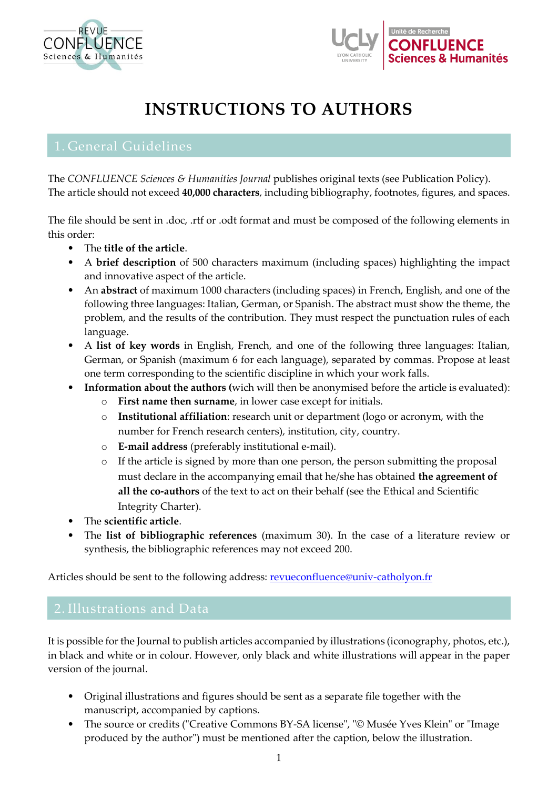



# **INSTRUCTIONS TO AUTHORS**

The *CONFLUENCE Sciences & Humanities Journal* publishes original texts (see Publication Policy). The article should not exceed **40,000 characters**, including bibliography, footnotes, figures, and spaces.

The file should be sent in .doc, .rtf or .odt format and must be composed of the following elements in this order:

- The **title of the article**.
- A **brief description** of 500 characters maximum (including spaces) highlighting the impact and innovative aspect of the article.
- An **abstract** of maximum 1000 characters (including spaces) in French, English, and one of the following three languages: Italian, German, or Spanish. The abstract must show the theme, the problem, and the results of the contribution. They must respect the punctuation rules of each language.
- A **list of key words** in English, French, and one of the following three languages: Italian, German, or Spanish (maximum 6 for each language), separated by commas. Propose at least one term corresponding to the scientific discipline in which your work falls.
- **Information about the authors (**wich will then be anonymised before the article is evaluated):
	- o **First name then surname**, in lower case except for initials.
	- o **Institutional affiliation**: research unit or department (logo or acronym, with the number for French research centers), institution, city, country.
	- o **E-mail address** (preferably institutional e-mail).
	- o If the article is signed by more than one person, the person submitting the proposal must declare in the accompanying email that he/she has obtained **the agreement of all the co-authors** of the text to act on their behalf (see the Ethical and Scientific Integrity Charter).
- The **scientific article**.
- The **list of bibliographic references** (maximum 30). In the case of a literature review or synthesis, the bibliographic references may not exceed 200.

Articles should be sent to the following address: **revueconfluence@univ-catholyon.fr** 

It is possible for the Journal to publish articles accompanied by illustrations (iconography, photos, etc.), in black and white or in colour. However, only black and white illustrations will appear in the paper version of the journal.

- Original illustrations and figures should be sent as a separate file together with the manuscript, accompanied by captions.
- The source or credits ("Creative Commons BY-SA license", "© Musée Yves Klein" or "Image produced by the author") must be mentioned after the caption, below the illustration.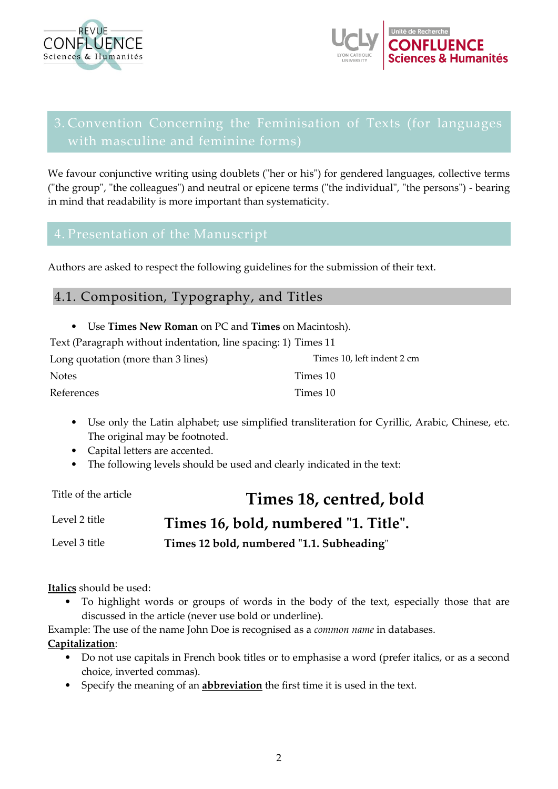



# 3. Convention Concerning the Feminisation of Texts (for languages

We favour conjunctive writing using doublets ("her or his") for gendered languages, collective terms ("the group", "the colleagues") and neutral or epicene terms ("the individual", "the persons") - bearing in mind that readability is more important than systematicity.

Authors are asked to respect the following guidelines for the submission of their text.

# 4.1. Composition, Typography, and Titles

| • Use Times New Roman on PC and Times on Macintosh).             |          |  |
|------------------------------------------------------------------|----------|--|
| Text (Paragraph without indentation, line spacing: 1) Times 11   |          |  |
| Times 10, left indent 2 cm<br>Long quotation (more than 3 lines) |          |  |
| Notes                                                            | Times 10 |  |
| References                                                       | Times 10 |  |

- Use only the Latin alphabet; use simplified transliteration for Cyrillic, Arabic, Chinese, etc. The original may be footnoted.
- Capital letters are accented.
- The following levels should be used and clearly indicated in the text:

Title of the article **Times 18, centred, bold** 

Level 2 title **Times 16, bold, numbered "1. Title".**

Level 3 title **Times 12 bold, numbered "1.1. Subheading**"

**Italics** should be used:

• To highlight words or groups of words in the body of the text, especially those that are discussed in the article (never use bold or underline).

Example: The use of the name John Doe is recognised as a *common name* in databases.

## **Capitalization**:

- Do not use capitals in French book titles or to emphasise a word (prefer italics, or as a second choice, inverted commas).
- Specify the meaning of an **abbreviation** the first time it is used in the text.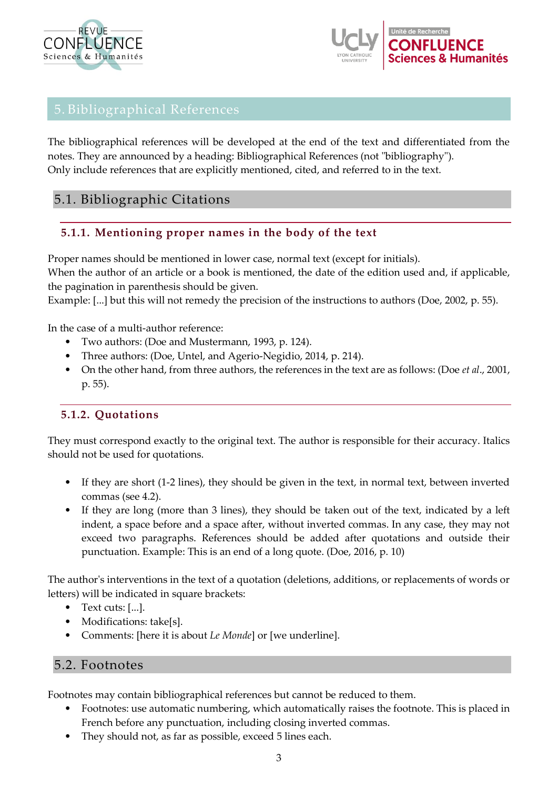



# 5. Bibliographical References

The bibliographical references will be developed at the end of the text and differentiated from the notes. They are announced by a heading: Bibliographical References (not "bibliography"). Only include references that are explicitly mentioned, cited, and referred to in the text.

# 5.1. Bibliographic Citations

# **5.1.1. Mentioning proper names in the body of the text**

Proper names should be mentioned in lower case, normal text (except for initials).

When the author of an article or a book is mentioned, the date of the edition used and, if applicable, the pagination in parenthesis should be given.

Example: [...] but this will not remedy the precision of the instructions to authors (Doe, 2002, p. 55).

In the case of a multi-author reference:

- Two authors: (Doe and Mustermann, 1993, p. 124).
- Three authors: (Doe, Untel, and Agerio-Negidio, 2014, p. 214).
- On the other hand, from three authors, the references in the text are as follows: (Doe *et al*., 2001, p. 55).

# **5.1.2. Quotations**

They must correspond exactly to the original text. The author is responsible for their accuracy. Italics should not be used for quotations.

- If they are short (1-2 lines), they should be given in the text, in normal text, between inverted commas (see 4.2).
- If they are long (more than 3 lines), they should be taken out of the text, indicated by a left indent, a space before and a space after, without inverted commas. In any case, they may not exceed two paragraphs. References should be added after quotations and outside their punctuation. Example: This is an end of a long quote. (Doe, 2016, p. 10)

The author's interventions in the text of a quotation (deletions, additions, or replacements of words or letters) will be indicated in square brackets:

- Text cuts: [...].
- Modifications: take[s].
- Comments: [here it is about *Le Monde*] or [we underline].

# 5.2. Footnotes

Footnotes may contain bibliographical references but cannot be reduced to them.

- Footnotes: use automatic numbering, which automatically raises the footnote. This is placed in French before any punctuation, including closing inverted commas.
- They should not, as far as possible, exceed 5 lines each.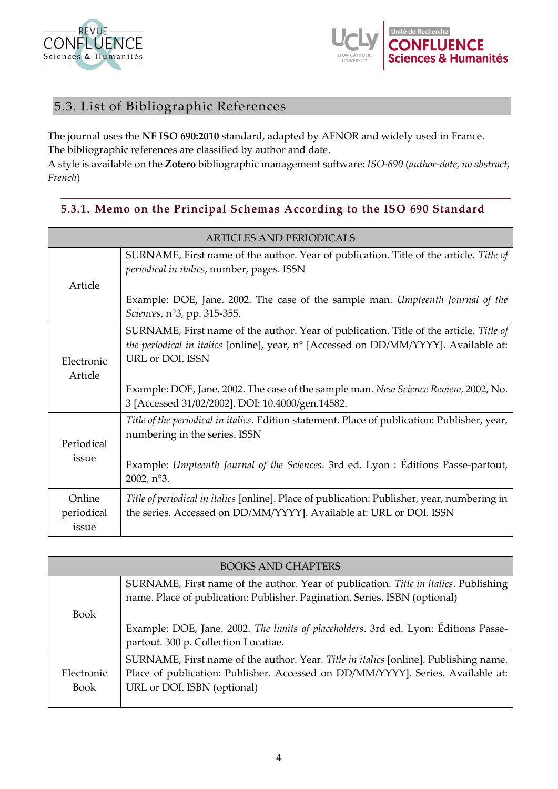



# 5.3. List of Bibliographic References

The journal uses the **NF ISO 690:2010** standard, adapted by AFNOR and widely used in France. The bibliographic references are classified by author and date.

A style is available on the **Zotero** bibliographic management software: *ISO-690* (*author-date, no abstract, French*)

# **5.3.1. Memo on the Principal Schemas According to the ISO 690 Standard**

| <b>ARTICLES AND PERIODICALS</b> |                                                                                                                                                                                                                                    |
|---------------------------------|------------------------------------------------------------------------------------------------------------------------------------------------------------------------------------------------------------------------------------|
| Article                         | SURNAME, First name of the author. Year of publication. Title of the article. Title of<br>periodical in italics, number, pages. ISSN                                                                                               |
|                                 | Example: DOE, Jane. 2002. The case of the sample man. Umpteenth Journal of the<br>Sciences, n°3, pp. 315-355.                                                                                                                      |
| Electronic<br>Article           | SURNAME, First name of the author. Year of publication. Title of the article. Title of<br>the periodical in italics [online], year, n° [Accessed on DD/MM/YYYY]. Available at:<br>URL or DOI. ISSN                                 |
|                                 | Example: DOE, Jane. 2002. The case of the sample man. New Science Review, 2002, No.<br>3 [Accessed 31/02/2002]. DOI: 10.4000/gen.14582.                                                                                            |
| Periodical<br>issue             | Title of the periodical in italics. Edition statement. Place of publication: Publisher, year,<br>numbering in the series. ISSN<br>Example: Umpteenth Journal of the Sciences. 3rd ed. Lyon : Éditions Passe-partout,<br>2002, n°3. |
| Online<br>periodical<br>issue   | Title of periodical in italics [online]. Place of publication: Publisher, year, numbering in<br>the series. Accessed on DD/MM/YYYY]. Available at: URL or DOI. ISSN                                                                |

| <b>BOOKS AND CHAPTERS</b> |                                                                                                                                                                    |
|---------------------------|--------------------------------------------------------------------------------------------------------------------------------------------------------------------|
|                           | SURNAME, First name of the author. Year of publication. Title in italics. Publishing<br>name. Place of publication: Publisher. Pagination. Series. ISBN (optional) |
| <b>Book</b>               |                                                                                                                                                                    |
|                           | Example: DOE, Jane. 2002. The limits of placeholders. 3rd ed. Lyon: Éditions Passe-<br>partout. 300 p. Collection Locatiae.                                        |
|                           | SURNAME, First name of the author. Year. Title in italics [online]. Publishing name.                                                                               |
| Electronic                | Place of publication: Publisher. Accessed on DD/MM/YYYY]. Series. Available at:                                                                                    |
| <b>Book</b>               | URL or DOI. ISBN (optional)                                                                                                                                        |
|                           |                                                                                                                                                                    |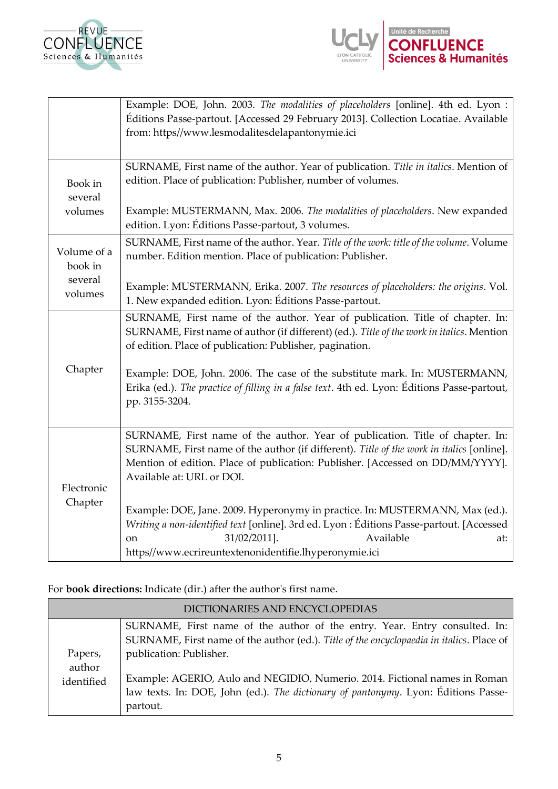



|                               | Example: DOE, John. 2003. The modalities of placeholders [online]. 4th ed. Lyon :<br>Éditions Passe-partout. [Accessed 29 February 2013]. Collection Locatiae. Available<br>from: https//www.lesmodalitesdelapantonymie.ici                                                              |
|-------------------------------|------------------------------------------------------------------------------------------------------------------------------------------------------------------------------------------------------------------------------------------------------------------------------------------|
| Book in<br>several<br>volumes | SURNAME, First name of the author. Year of publication. Title in italics. Mention of<br>edition. Place of publication: Publisher, number of volumes.<br>Example: MUSTERMANN, Max. 2006. The modalities of placeholders. New expanded                                                     |
|                               | edition. Lyon: Éditions Passe-partout, 3 volumes.                                                                                                                                                                                                                                        |
| Volume of a<br>book in        | SURNAME, First name of the author. Year. Title of the work: title of the volume. Volume<br>number. Edition mention. Place of publication: Publisher.                                                                                                                                     |
| several<br>volumes            | Example: MUSTERMANN, Erika. 2007. The resources of placeholders: the origins. Vol.<br>1. New expanded edition. Lyon: Éditions Passe-partout.                                                                                                                                             |
|                               | SURNAME, First name of the author. Year of publication. Title of chapter. In:<br>SURNAME, First name of author (if different) (ed.). Title of the work in italics. Mention<br>of edition. Place of publication: Publisher, pagination.                                                   |
| Chapter                       | Example: DOE, John. 2006. The case of the substitute mark. In: MUSTERMANN,<br>Erika (ed.). The practice of filling in a false text. 4th ed. Lyon: Éditions Passe-partout,<br>pp. 3155-3204.                                                                                              |
| Electronic<br>Chapter         | SURNAME, First name of the author. Year of publication. Title of chapter. In:<br>SURNAME, First name of the author (if different). Title of the work in italics [online].<br>Mention of edition. Place of publication: Publisher. [Accessed on DD/MM/YYYY].<br>Available at: URL or DOI. |
|                               | Example: DOE, Jane. 2009. Hyperonymy in practice. In: MUSTERMANN, Max (ed.).<br>Writing a non-identified text [online]. 3rd ed. Lyon : Éditions Passe-partout. [Accessed<br>31/02/2011].<br>Available<br>at:<br>on<br>https//www.ecrireuntextenonidentifie.lhyperonymie.ici              |

For **book directions:** Indicate (dir.) after the author's first name.

|                      | DICTIONARIES AND ENCYCLOPEDIAS                                                                                                                                                                    |
|----------------------|---------------------------------------------------------------------------------------------------------------------------------------------------------------------------------------------------|
| Papers,              | SURNAME, First name of the author of the entry. Year. Entry consulted. In:<br>SURNAME, First name of the author (ed.). Title of the encyclopaedia in italics. Place of<br>publication: Publisher. |
| author<br>identified | Example: AGERIO, Aulo and NEGIDIO, Numerio. 2014. Fictional names in Roman<br>law texts. In: DOE, John (ed.). The dictionary of pantonymy. Lyon: Éditions Passe-<br>partout.                      |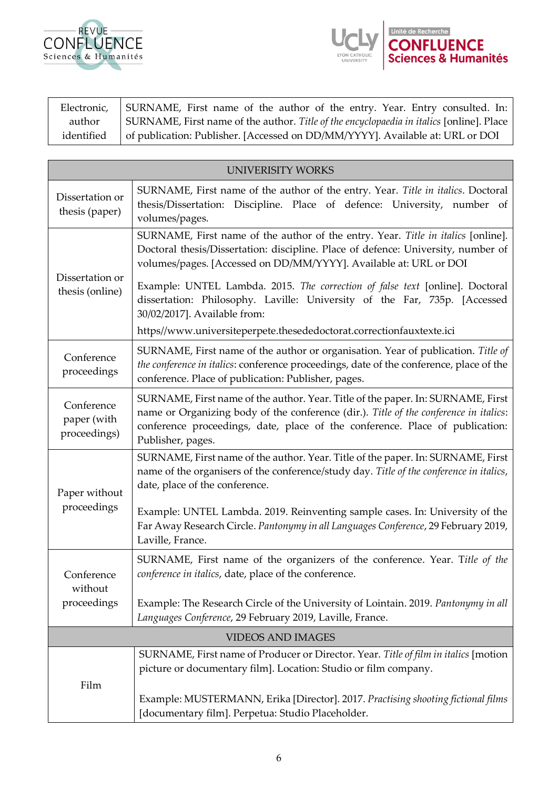



Electronic, author identified SURNAME, First name of the author of the entry. Year. Entry consulted. In: SURNAME, First name of the author. *Title of the encyclopaedia in italics* [online]. Place of publication: Publisher. [Accessed on DD/MM/YYYY]. Available at: URL or DOI

| <b>UNIVERISITY WORKS</b>                  |                                                                                                                                                                                                                                                                               |
|-------------------------------------------|-------------------------------------------------------------------------------------------------------------------------------------------------------------------------------------------------------------------------------------------------------------------------------|
| Dissertation or<br>thesis (paper)         | SURNAME, First name of the author of the entry. Year. Title in italics. Doctoral<br>thesis/Dissertation: Discipline. Place of defence: University, number of<br>volumes/pages.                                                                                                |
| Dissertation or<br>thesis (online)        | SURNAME, First name of the author of the entry. Year. Title in italics [online].<br>Doctoral thesis/Dissertation: discipline. Place of defence: University, number of<br>volumes/pages. [Accessed on DD/MM/YYYY]. Available at: URL or DOI                                    |
|                                           | Example: UNTEL Lambda. 2015. The correction of false text [online]. Doctoral<br>dissertation: Philosophy. Laville: University of the Far, 735p. [Accessed<br>30/02/2017]. Available from:                                                                                     |
|                                           | https//www.universiteperpete.thesededoctorat.correctionfauxtexte.ici                                                                                                                                                                                                          |
| Conference<br>proceedings                 | SURNAME, First name of the author or organisation. Year of publication. Title of<br>the conference in italics: conference proceedings, date of the conference, place of the<br>conference. Place of publication: Publisher, pages.                                            |
| Conference<br>paper (with<br>proceedings) | SURNAME, First name of the author. Year. Title of the paper. In: SURNAME, First<br>name or Organizing body of the conference (dir.). Title of the conference in italics:<br>conference proceedings, date, place of the conference. Place of publication:<br>Publisher, pages. |
| Paper without<br>proceedings              | SURNAME, First name of the author. Year. Title of the paper. In: SURNAME, First<br>name of the organisers of the conference/study day. Title of the conference in italics,<br>date, place of the conference.                                                                  |
|                                           | Example: UNTEL Lambda. 2019. Reinventing sample cases. In: University of the<br>Far Away Research Circle. Pantonymy in all Languages Conference, 29 February 2019,<br>Laville, France.                                                                                        |
| Conference<br>without<br>proceedings      | SURNAME, First name of the organizers of the conference. Year. Title of the<br>conference in italics, date, place of the conference.                                                                                                                                          |
|                                           | Example: The Research Circle of the University of Lointain. 2019. Pantonymy in all<br>Languages Conference, 29 February 2019, Laville, France.                                                                                                                                |
| <b>VIDEOS AND IMAGES</b>                  |                                                                                                                                                                                                                                                                               |
| Film                                      | SURNAME, First name of Producer or Director. Year. Title of film in italics [motion<br>picture or documentary film]. Location: Studio or film company.                                                                                                                        |
|                                           | Example: MUSTERMANN, Erika [Director]. 2017. Practising shooting fictional films<br>[documentary film]. Perpetua: Studio Placeholder.                                                                                                                                         |